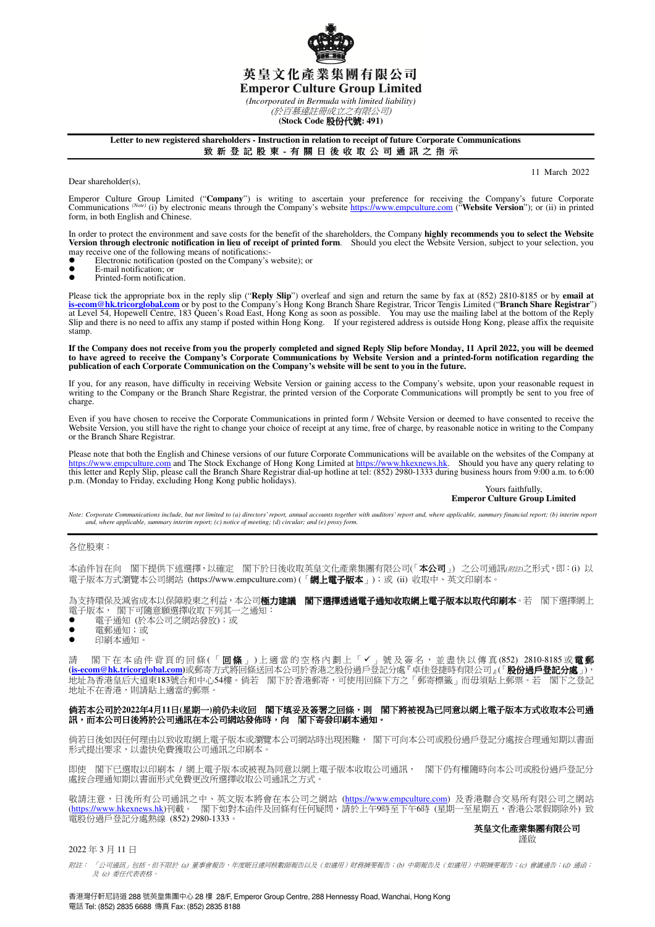

*(Incorporated in Bermuda with limited liability)*  (於百慕達註冊成立之有限公司)

**(Stock Code** 股份代號**: 491)** 

#### **Letter to new registered shareholders - Instruction in relation to receipt of future Corporate Communications**  致 新 登 記 股 東 - 有 關 日 後 收 取 公 司 通 訊 之 指 示

I

Dear shareholder(s),

11 March 2022

Emperor Culture Group Limited ("Company") is writing to ascertain your preference for receiving the Company's future Corporate Communications (Note) (i) by electronic means through the Company's website https://www.empcult form, in both English and Chinese.

In order to protect the environment and save costs for the benefit of the shareholders, the Company **highly recommends you to select the Website Version through electronic notification in lieu of receipt of printed form**. Should you elect the Website Version, subject to your selection, you

- may receive one of the following means of notifications: ■<br>■ Electronic notification (posted on the Company's website); or
- E-mail notification; or<br>Printed-form notification
- Printed-form notification.

Please tick the appropriate box in the reply slip ("**Reply Slip**") overleaf and sign and return the same by fax at (852) 2810-8185 or by **email at**  <mark>is-ecom@hk.tricorglobal.com</mark> or by post to the Company's Hong Kong Branch Share Registrar, Tricor Tengis Limited ("**Branch Share Registrar**")<br>at Level 54, Hopewell Centre, 183 Queen's Road East, Hong Kong as soon as possi Slip and there is no need to affix any stamp if posted within Hong Kong. If your registered address is outside Hong Kong, please affix the requisite stamp.

**If the Company does not receive from you the properly completed and signed Reply Slip before Monday, 11 April 2022, you will be deemed**  to have agreed to receive the Company's Corporate Communications by Website Version and a printed-form notification regarding the<br>publication of each Corporate Communication on the Company's website will be sent to you in

If you, for any reason, have difficulty in receiving Website Version or gaining access to the Company's website, upon your reasonable request in<br>writing to the Company or the Branch Share Registrar, the printed version of charge.

Even if you have chosen to receive the Corporate Communications in printed form / Website Version or deemed to have consented to receive the Website Version, you still have the right to change your choice of receipt at any time, free of charge, by reasonable notice in writing to the Company or the Branch Share Registrar.

Please note that both the English and Chinese versions of our future Corporate Communications will be available on the websites of the Company at https://www.empculture.com and The Stock Exchange of Hong Kong Limited at https://www.hkexnews.hk. Should you have any query relating to<br>this letter and Reply Slip, please call the Branch Share Registrar dial-up hotline at p.m. (Monday to Friday, excluding Hong Kong public holidays).

# Yours faithfully, **Emperor Culture Group Limited**

Note: Corporate Communications include, but not limited to (a) directors' report, annual accounts together with auditors' report and, where applicable, summary financial report; (b) interim report<br>and, where applicable, su

#### 各位股東:

本函件旨在向 閣下提供下述選擇,以確定 閣下於日後收取英皇文化產業集團有限公司(「本公司」) 之公司通訊(*附*#)之形式,即:(i) 以 電子版本方式瀏覽本公司網站 (https://www.empculture.com) (「**網上電子版本**」);或 (ii) 收取中、英文印刷本。

為支持環保及減省成本以保障股東之利益,本公司**極力建議 閣下選擇透過電子通知收取網上電子版本以取代印刷本**。若 閣下選擇網上 電子版本, 閣下可隨意願選擇收取下列其一之通知:

- 電子通知 (於本公司之網站發放);或
- 電郵通知;或
- 印刷本通知。

請 閣下在本函件背頁的回條(「回條」)上適當的空格內劃上「✔」號及簽名,並盡快以傳真(852) 2810-8185或電郵 **(is-ecom@hk.tricorglobal.com)**或郵寄方式將回條送回本公司於香港之股份過戶登記分處『卓佳登捷時有限公司』(「股份過戶登記分處」), 地址為香港皇后大道東183號合和中心54樓。倘若 閣下於香港郵寄,可使用回條下方之「郵寄標籤」而毋須貼上郵票。若 閣下之登記 地址不在香港,則請貼上適當的郵票。

#### 倘若本公司於2022年4月11日(星期一)前仍未收回 閣下填妥及簽署之回條,則 閣下將被視為已同意以網上電子版本方式收取本公司通 訊,而本公司日後將於公司通訊在本公司網站發佈時,向 閣下寄發印刷本通知。

 倘若日後如因任何理由以致收取網上電子版本或瀏覽本公司網站時出現困難, 閣下可向本公司或股份過戶登記分處按合理通知期以書面 形式提出要求,以盡快免費獲取公司通訊之印刷本。

即使 閣下已選取以印刷本 / 網上電子版本或被視為同意以網上電子版本收取公司通訊, 閣下仍有權隨時向本公司或股份過戶登記分 處按合理通知期以書面形式免費更改所選擇收取公司通訊之方式。

敬請注意,日後所有公司通訊之中、英文版本將會在本公司之網站 (<u>https://www.empculture.com</u>) 及香港聯合交易所有限公司之網站 (<u>https://www.hkexnews.hk</u>)刊載。 閣下如對本函件及回條有任何疑問,請於上午9時至下午6時(星期一至星期五,香港公眾假期除外) 致 電股份過戶登記分處熱線 (852) 2980-1333。

#### 英皇文化產業集團有限公司 謹啟

### 2022 年 3 月 11 日

附註: 「公司通訊」包括,但不限於 (a) 董事會報告、年度賬目連同核數師報告以及(如適用)財務摘要報告;(b) 中期報告及(如適用)中期摘要報告;(c) 會議通告;(d) 通函; 及 (e) 委任代表表格。

香港灣仔軒尼詩道 288 號英皇集團中心 28 樓 28/F, Emperor Group Centre, 288 Hennessy Road, Wanchai, Hong Kong 電話 Tel: (852) 2835 6688 傳真 Fax: (852) 2835 8188